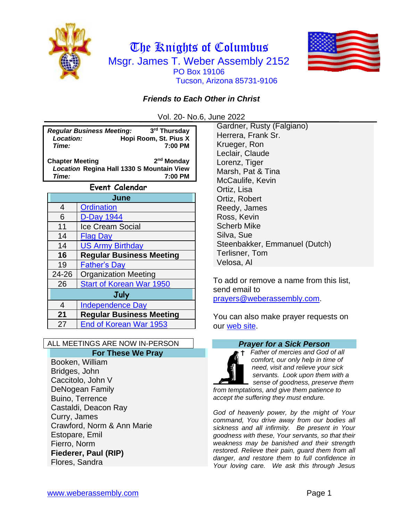



## *Friends to Each Other in Christ*

Vol. 20- No.6, June 2022

**Regular Business Meeting:**<br>**Location: 19** Hobi **rd Thursday**   *Location:* **Hopi Room, St. Pius X**  *Time:* **7:00 PM**

**Chapter Meeting 2** 2<sup>nd</sup> Monday *Location* **Regina Hall 1330 S Mountain View** *Time:* **7:00 PM**

| Event Calendar |                                 |  |
|----------------|---------------------------------|--|
| June           |                                 |  |
| 4              | <b>Ordination</b>               |  |
| 6              | <b>D-Day 1944</b>               |  |
| 11             | <b>Ice Cream Social</b>         |  |
| 14             | <b>Flag Day</b>                 |  |
| 14             | <b>US Army Birthday</b>         |  |
| 16             | <b>Regular Business Meeting</b> |  |
| 19             | <b>Father's Day</b>             |  |
| 24-26          | <b>Organization Meeting</b>     |  |
| 26             | <b>Start of Korean War 1950</b> |  |
| July           |                                 |  |
| 4              | <b>Independence Day</b>         |  |
| 21             | <b>Regular Business Meeting</b> |  |
| 27             | End of Korean War 1953          |  |

#### ALL MEETINGS ARE NOW IN-PERSON

#### **For These We Pray**

Booken, William Bridges, John Caccitolo, John V DeNogean Family Buino, Terrence Castaldi, Deacon Ray Curry, James Crawford, Norm & Ann Marie Estopare, Emil Fierro, Norm **Fiederer, Paul (RIP)** Flores, Sandra

Gardner, Rusty (Falgiano) Herrera, Frank Sr. Krueger, Ron Leclair, Claude Lorenz, Tiger Marsh, Pat & Tina McCaulife, Kevin Ortiz, Lisa Ortiz, Robert Reedy, James Ross, Kevin Scherb Mike Silva, Sue Steenbakker, Emmanuel (Dutch) Terlisner, Tom Velosa, Al

To add or remove a name from this list, send email to [prayers@weberassembly.com.](mailto:prayers@weberassembly.com)

You can also make prayer requests on our [web site.](http://www.weberassembly.com/)

#### *Prayer for a Sick Person*

*Father of mercies and God of all comfort, our only help in time of need, visit and relieve your sick servants. Look upon them with a sense of goodness, preserve them from temptations, and give them patience to accept the suffering they must endure.*

*God of heavenly power, by the might of Your command, You drive away from our bodies all sickness and all infirmity. Be present in Your goodness with these, Your servants, so that their weakness may be banished and their strength restored. Relieve their pain, guard them from all danger, and restore them to full confidence in Your loving care. We ask this through Jesus*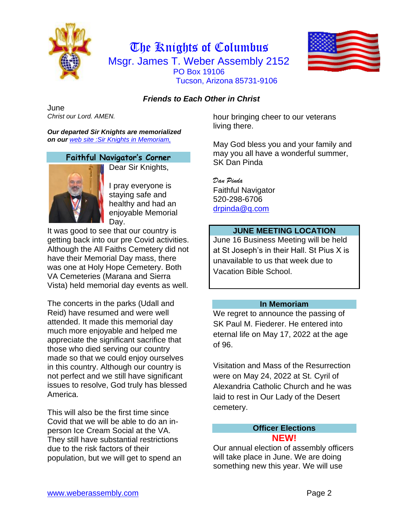



## *Friends to Each Other in Christ*

June *Christ our Lord. AMEN.*

*Our departed Sir Knights are memorialized on our [web site :Sir Knights](http://www.weberassembly.com/) in Memoriam,*

#### **Faithful Navigator's Corner**



Dear Sir Knights,

I pray everyone is staying safe and healthy and had an enjoyable Memorial Day.

It was good to see that our country is getting back into our pre Covid activities. Although the All Faiths Cemetery did not have their Memorial Day mass, there was one at Holy Hope Cemetery. Both VA Cemeteries (Marana and Sierra Vista) held memorial day events as well.

The concerts in the parks (Udall and Reid) have resumed and were well attended. It made this memorial day much more enjoyable and helped me appreciate the significant sacrifice that those who died serving our country made so that we could enjoy ourselves in this country. Although our country is not perfect and we still have significant issues to resolve, God truly has blessed America.

This will also be the first time since Covid that we will be able to do an inperson Ice Cream Social at the VA. They still have substantial restrictions due to the risk factors of their population, but we will get to spend an hour bringing cheer to our veterans living there.

May God bless you and your family and may you all have a wonderful summer, SK Dan Pinda

*Dan Pinda* Faithful Navigator 520-298-6706 [drpinda@q.com](mailto:drpinda@q.com)

### **JUNE MEETING LOCATION**

June 16 Business Meeting will be held at St Joseph's in their Hall. St Pius X is unavailable to us that week due to Vacation Bible School.

#### **In Memoriam**

We regret to announce the passing of SK Paul M. Fiederer. He entered into eternal life on May 17, 2022 at the age of 96.

Visitation and Mass of the Resurrection were on May 24, 2022 at St. Cyril of Alexandria Catholic Church and he was laid to rest in Our Lady of the Desert cemetery.

#### **Officer Elections NEW!**

Our annual election of assembly officers will take place in June. We are doing something new this year. We will use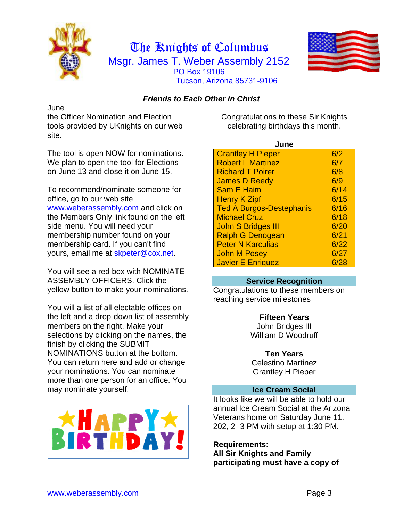



### *Friends to Each Other in Christ*

June

the Officer Nomination and Election tools provided by UKnights on our web site.

The tool is open NOW for nominations. We plan to open the tool for Elections on June 13 and close it on June 15.

To recommend/nominate someone for office, go to our web site [www.weberassembly.com](http://www.weberassembly.com/) and click on the Members Only link found on the left side menu. You will need your membership number found on your membership card. If you can't find yours, email me at [skpeter@cox.net.](mailto:skpeter@cox.net)

You will see a red box with NOMINATE ASSEMBLY OFFICERS. Click the yellow button to make your nominations.

You will a list of all electable offices on the left and a drop-down list of assembly members on the right. Make your selections by clicking on the names, the finish by clicking the SUBMIT NOMINATIONS button at the bottom. You can return here and add or change your nominations. You can nominate more than one person for an office. You may nominate yourself.



Congratulations to these Sir Knights celebrating birthdays this month.

| June                            |      |  |
|---------------------------------|------|--|
| <b>Grantley H Pieper</b>        | 6/2  |  |
| <b>Robert L Martinez</b>        | 6/7  |  |
| <b>Richard T Poirer</b>         | 6/8  |  |
| <b>James D Reedy</b>            | 6/9  |  |
| <b>Sam E Haim</b>               | 6/14 |  |
| <b>Henry K Zipf</b>             | 6/15 |  |
| <b>Ted A Burgos-Destephanis</b> | 6/16 |  |
| <b>Michael Cruz</b>             | 6/18 |  |
| <b>John S Bridges III</b>       | 6/20 |  |
| <b>Ralph G Denogean</b>         | 6/21 |  |
| <b>Peter N Karculias</b>        | 6/22 |  |
| <b>John M Posey</b>             | 6/27 |  |
| <b>Javier E Enriquez</b>        | 6/28 |  |

#### **Service Recognition**

Congratulations to these members on reaching service milestones

> **Fifteen Years** John Bridges III William D Woodruff

#### **Ten Years** Celestino Martinez

Grantley H Pieper

#### **Ice Cream Social**

It looks like we will be able to hold our annual Ice Cream Social at the Arizona Veterans home on Saturday June 11. 202, 2 -3 PM with setup at 1:30 PM.

**Requirements: All Sir Knights and Family participating must have a copy of**